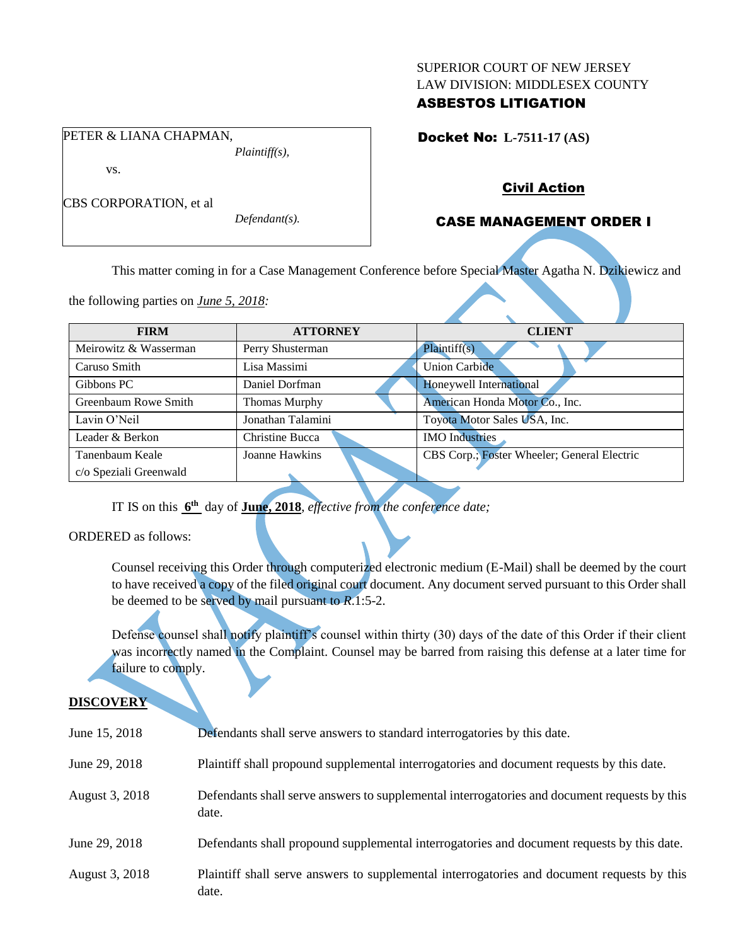#### SUPERIOR COURT OF NEW JERSEY LAW DIVISION: MIDDLESEX COUNTY

### ASBESTOS LITIGATION

Docket No: **L-7511-17 (AS)** 

vs.

CBS CORPORATION, et al

PETER & LIANA CHAPMAN,

*Defendant(s).*

*Plaintiff(s),*

### Civil Action

# CASE MANAGEMENT ORDER I

This matter coming in for a Case Management Conference before Special Master Agatha N. Dzikiewicz and

the following parties on *June 5, 2018:*

| <b>FIRM</b>            | <b>ATTORNEY</b>      | <b>CLIENT</b>                               |
|------------------------|----------------------|---------------------------------------------|
| Meirowitz & Wasserman  | Perry Shusterman     | Plaintiff(s)                                |
| Caruso Smith           | Lisa Massimi         | <b>Union Carbide</b>                        |
| Gibbons PC             | Daniel Dorfman       | Honeywell International                     |
| Greenbaum Rowe Smith   | <b>Thomas Murphy</b> | American Honda Motor Co., Inc.              |
| Lavin O'Neil           | Jonathan Talamini    | Toyota Motor Sales USA, Inc.                |
| Leader & Berkon        | Christine Bucca      | <b>IMO</b> Industries                       |
| Tanenbaum Keale        | Joanne Hawkins       | CBS Corp.; Foster Wheeler; General Electric |
| c/o Speziali Greenwald |                      |                                             |

IT IS on this  $6^{\text{th}}$  day of **June, 2018**, *effective from the conference date*;

ORDERED as follows:

Counsel receiving this Order through computerized electronic medium (E-Mail) shall be deemed by the court to have received a copy of the filed original court document. Any document served pursuant to this Order shall be deemed to be served by mail pursuant to *R*.1:5-2.

Defense counsel shall notify plaintiff's counsel within thirty (30) days of the date of this Order if their client was incorrectly named in the Complaint. Counsel may be barred from raising this defense at a later time for failure to comply.

# **DISCOVERY**

| June 15, 2018  | Defendants shall serve answers to standard interrogatories by this date.                              |
|----------------|-------------------------------------------------------------------------------------------------------|
| June 29, 2018  | Plaintiff shall propound supplemental interrogatories and document requests by this date.             |
| August 3, 2018 | Defendants shall serve answers to supplemental interrogatories and document requests by this<br>date. |
| June 29, 2018  | Defendants shall propound supplemental interrogatories and document requests by this date.            |
| August 3, 2018 | Plaintiff shall serve answers to supplemental interrogatories and document requests by this<br>date.  |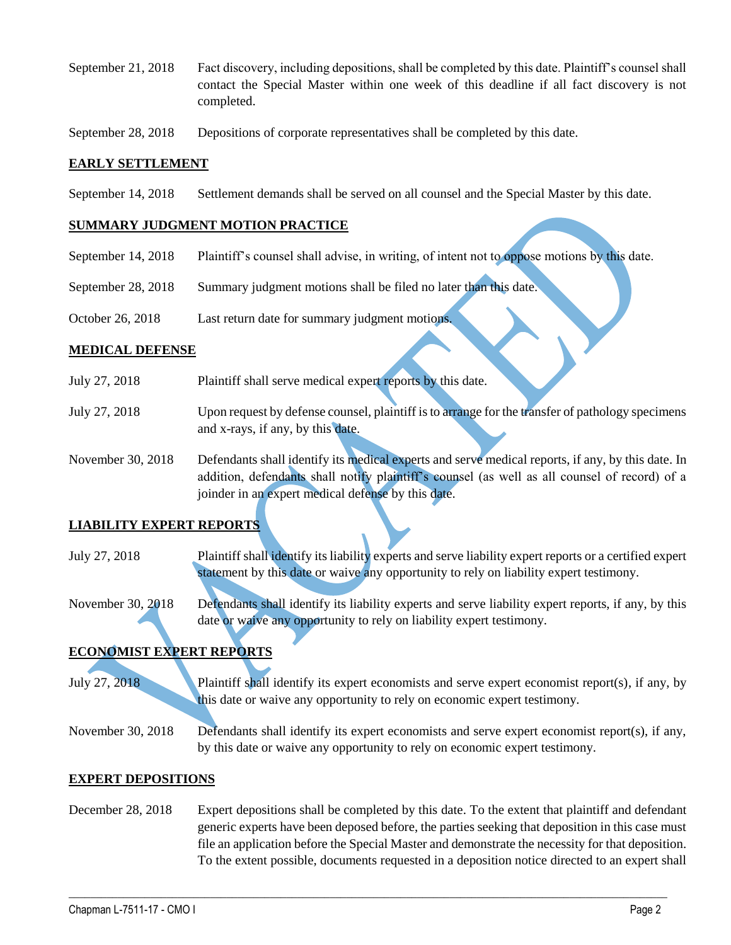- September 21, 2018 Fact discovery, including depositions, shall be completed by this date. Plaintiff's counsel shall contact the Special Master within one week of this deadline if all fact discovery is not completed.
- September 28, 2018 Depositions of corporate representatives shall be completed by this date.

#### **EARLY SETTLEMENT**

September 14, 2018 Settlement demands shall be served on all counsel and the Special Master by this date.

### **SUMMARY JUDGMENT MOTION PRACTICE**

- September 14, 2018 Plaintiff's counsel shall advise, in writing, of intent not to oppose motions by this date.
- September 28, 2018 Summary judgment motions shall be filed no later than this date.
- October 26, 2018 Last return date for summary judgment motions.

#### **MEDICAL DEFENSE**

- July 27, 2018 Plaintiff shall serve medical expert reports by this date.
- July 27, 2018 Upon request by defense counsel, plaintiff is to arrange for the transfer of pathology specimens and x-rays, if any, by this date.
- November 30, 2018 Defendants shall identify its medical experts and serve medical reports, if any, by this date. In addition, defendants shall notify plaintiff's counsel (as well as all counsel of record) of a joinder in an expert medical defense by this date.

### **LIABILITY EXPERT REPORTS**

- July 27, 2018 Plaintiff shall identify its liability experts and serve liability expert reports or a certified expert statement by this date or waive any opportunity to rely on liability expert testimony.
- November 30, 2018 Defendants shall identify its liability experts and serve liability expert reports, if any, by this date or waive any opportunity to rely on liability expert testimony.

# **ECONOMIST EXPERT REPORTS**

July 27, 2018 Plaintiff shall identify its expert economists and serve expert economist report(s), if any, by this date or waive any opportunity to rely on economic expert testimony.

November 30, 2018 Defendants shall identify its expert economists and serve expert economist report(s), if any, by this date or waive any opportunity to rely on economic expert testimony.

### **EXPERT DEPOSITIONS**

December 28, 2018 Expert depositions shall be completed by this date. To the extent that plaintiff and defendant generic experts have been deposed before, the parties seeking that deposition in this case must file an application before the Special Master and demonstrate the necessity for that deposition. To the extent possible, documents requested in a deposition notice directed to an expert shall

 $\_$  ,  $\_$  ,  $\_$  ,  $\_$  ,  $\_$  ,  $\_$  ,  $\_$  ,  $\_$  ,  $\_$  ,  $\_$  ,  $\_$  ,  $\_$  ,  $\_$  ,  $\_$  ,  $\_$  ,  $\_$  ,  $\_$  ,  $\_$  ,  $\_$  ,  $\_$  ,  $\_$  ,  $\_$  ,  $\_$  ,  $\_$  ,  $\_$  ,  $\_$  ,  $\_$  ,  $\_$  ,  $\_$  ,  $\_$  ,  $\_$  ,  $\_$  ,  $\_$  ,  $\_$  ,  $\_$  ,  $\_$  ,  $\_$  ,